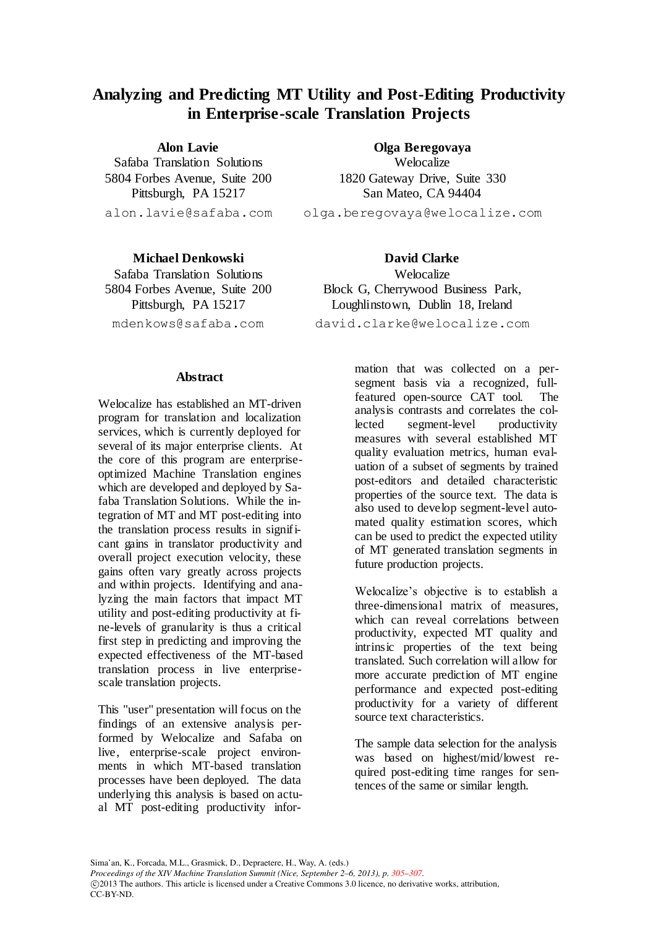## **Analyzing and Predicting MT Utility and Post-Editing Productivity in Enterprise-scale Translation Projects**

**Alon Lavie**

<span id="page-0-0"></span>Safaba Translation Solutions 5804 Forbes Avenue, Suite 200 Pittsburgh, PA 15217 alon.lavie@safaba.com

**Olga Beregovaya** Welocalize 1820 Gateway Drive, Suite 330 San Mateo, CA 94404 olga.beregovaya@welocalize.com

**Michael Denkowski** Safaba Translation Solutions 5804 Forbes Avenue, Suite 200 Pittsburgh, PA 15217 mdenkows@safaba.com

**David Clarke Welocalize** Block G, Cherrywood Business Park, Loughlinstown, Dublin 18, Ireland david.clarke@welocalize.com

## **Abstract**

Welocalize has established an MT-driven program for translation and localization services, which is currently deployed for several of its major enterprise clients. At the core of this program are enterpriseoptimized Machine Translation engines which are developed and deployed by Safaba Translation Solutions. While the integration of MT and MT post-editing into the translation process results in significant gains in translator productivity and overall project execution velocity, these gains often vary greatly across projects and within projects. Identifying and analyzing the main factors that impact MT utility and post-editing productivity at fine-levels of granularity is thus a critical first step in predicting and improving the expected effectiveness of the MT-based translation process in live enterprisescale translation projects.

This "user" presentation will focus on the findings of an extensive analysis performed by Welocalize and Safaba on live, enterprise-scale project environments in which MT-based translation processes have been deployed. The data underlying this analysis is based on actual MT post-editing productivity infor-

CC-BY-ND.

mation that was collected on a persegment basis via a recognized, fullfeatured open-source CAT tool. The analysis contrasts and correlates the collected segment-level productivity measures with several established MT quality evaluation metrics, human evaluation of a subset of segments by trained post-editors and detailed characteristic properties of the source text. The data is also used to develop segment-level automated quality estimation scores, which can be used to predict the expected utility of MT generated translation segments in future production projects.

Welocalize's objective is to establish a three-dimensional matrix of measures, which can reveal correlations between productivity, expected MT quality and intrinsic properties of the text being translated. Such correlation will allow for more accurate prediction of MT engine performance and expected post-editing productivity for a variety of different source text characteristics.

The sample data selection for the analysis was based on highest/mid/lowest required post-editing time ranges for sentences of the same or similar length.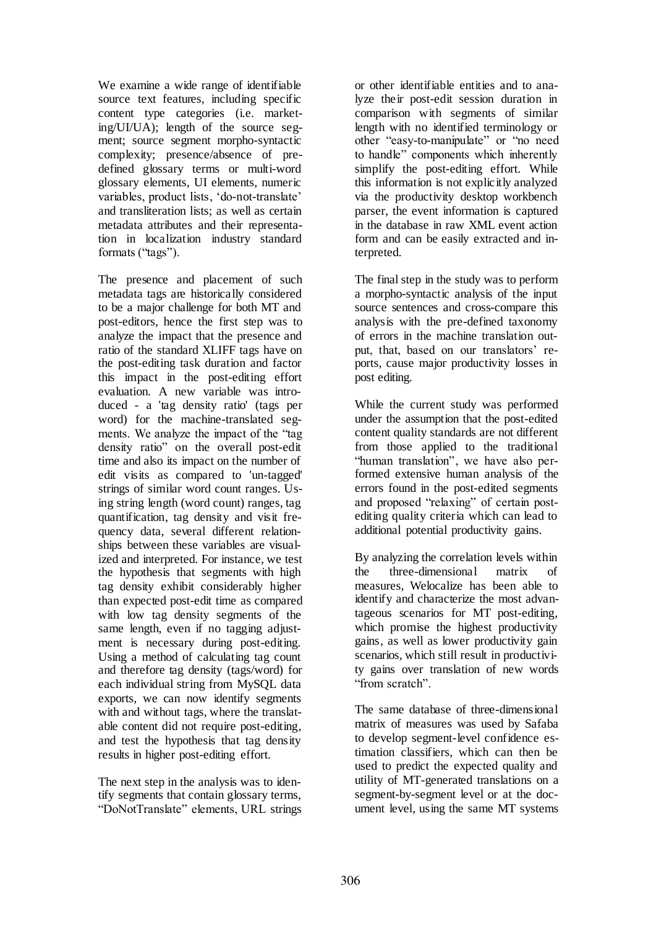We examine a wide range of identifiable source text features, including specific content type categories (i.e. marketing/UI/UA); length of the source segment; source segment morpho-syntactic complexity; presence/absence of predefined glossary terms or multi-word glossary elements, UI elements, numeric variables, product lists, 'do-not-translate' and transliteration lists; as well as certain metadata attributes and their representation in localization industry standard formats ("tags").

The presence and placement of such metadata tags are historically considered to be a major challenge for both MT and post-editors, hence the first step was to analyze the impact that the presence and ratio of the standard XLIFF tags have on the post-editing task duration and factor this impact in the post-editing effort evaluation. A new variable was introduced - a 'tag density ratio' (tags per word) for the machine-translated segments. We analyze the impact of the "tag density ratio" on the overall post-edit time and also its impact on the number of edit visits as compared to 'un-tagged' strings of similar word count ranges. Using string length (word count) ranges, tag quantification, tag density and visit frequency data, several different relationships between these variables are visualized and interpreted. For instance, we test the hypothesis that segments with high tag density exhibit considerably higher than expected post-edit time as compared with low tag density segments of the same length, even if no tagging adjustment is necessary during post-editing. Using a method of calculating tag count and therefore tag density (tags/word) for each individual string from MySQL data exports, we can now identify segments with and without tags, where the translatable content did not require post-editing, and test the hypothesis that tag density results in higher post-editing effort.

The next step in the analysis was to identify segments that contain glossary terms, "DoNotTranslate" elements, URL strings or other identifiable entities and to analyze their post-edit session duration in comparison with segments of similar length with no identified terminology or other "easy-to-manipulate" or "no need to handle" components which inherently simplify the post-editing effort. While this information is not explicitly analyzed via the productivity desktop workbench parser, the event information is captured in the database in raw XML event action form and can be easily extracted and interpreted.

The final step in the study was to perform a morpho-syntactic analysis of the input source sentences and cross-compare this analysis with the pre-defined taxonomy of errors in the machine translation output, that, based on our translators' reports, cause major productivity losses in post editing.

While the current study was performed under the assumption that the post-edited content quality standards are not different from those applied to the traditional "human translation", we have also performed extensive human analysis of the errors found in the post-edited segments and proposed "relaxing" of certain postediting quality criteria which can lead to additional potential productivity gains.

By analyzing the correlation levels within the three-dimensional matrix of measures, Welocalize has been able to identify and characterize the most advantageous scenarios for MT post-editing, which promise the highest productivity gains, as well as lower productivity gain scenarios, which still result in productivity gains over translation of new words "from scratch".

The same database of three-dimensional matrix of measures was used by Safaba to develop segment-level confidence estimation classifiers, which can then be used to predict the expected quality and utility of MT-generated translations on a segment-by-segment level or at the document level, using the same MT systems